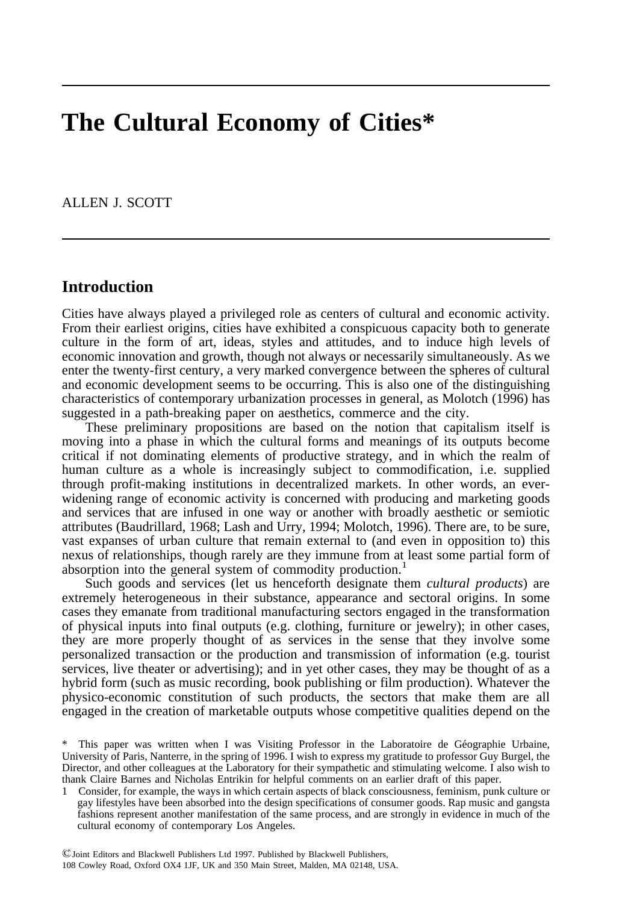# **The Cultural Economy of Cities\***

ALLEN J. SCOTT

# **Introduction**

Cities have always played a privileged role as centers of cultural and economic activity. From their earliest origins, cities have exhibited a conspicuous capacity both to generate culture in the form of art, ideas, styles and attitudes, and to induce high levels of economic innovation and growth, though not always or necessarily simultaneously. As we enter the twenty-first century, a very marked convergence between the spheres of cultural and economic development seems to be occurring. This is also one of the distinguishing characteristics of contemporary urbanization processes in general, as Molotch (1996) has suggested in a path-breaking paper on aesthetics, commerce and the city.

These preliminary propositions are based on the notion that capitalism itself is moving into a phase in which the cultural forms and meanings of its outputs become critical if not dominating elements of productive strategy, and in which the realm of human culture as a whole is increasingly subject to commodification, i.e. supplied through profit-making institutions in decentralized markets. In other words, an everwidening range of economic activity is concerned with producing and marketing goods and services that are infused in one way or another with broadly aesthetic or semiotic attributes (Baudrillard, 1968; Lash and Urry, 1994; Molotch, 1996). There are, to be sure, vast expanses of urban culture that remain external to (and even in opposition to) this nexus of relationships, though rarely are they immune from at least some partial form of absorption into the general system of commodity production.<sup>1</sup>

Such goods and services (let us henceforth designate them *cultural products*) are extremely heterogeneous in their substance, appearance and sectoral origins. In some cases they emanate from traditional manufacturing sectors engaged in the transformation of physical inputs into final outputs (e.g. clothing, furniture or jewelry); in other cases, they are more properly thought of as services in the sense that they involve some personalized transaction or the production and transmission of information (e.g. tourist services, live theater or advertising); and in yet other cases, they may be thought of as a hybrid form (such as music recording, book publishing or film production). Whatever the physico-economic constitution of such products, the sectors that make them are all engaged in the creation of marketable outputs whose competitive qualities depend on the

<sup>\*</sup> This paper was written when I was Visiting Professor in the Laboratoire de Géographie Urbaine, University of Paris, Nanterre, in the spring of 1996. I wish to express my gratitude to professor Guy Burgel, the Director, and other colleagues at the Laboratory for their sympathetic and stimulating welcome. I also wish to thank Claire Barnes and Nicholas Entrikin for helpful comments on an earlier draft of this paper.

<sup>1</sup> Consider, for example, the ways in which certain aspects of black consciousness, feminism, punk culture or gay lifestyles have been absorbed into the design specifications of consumer goods. Rap music and gangsta fashions represent another manifestation of the same process, and are strongly in evidence in much of the cultural economy of contemporary Los Angeles.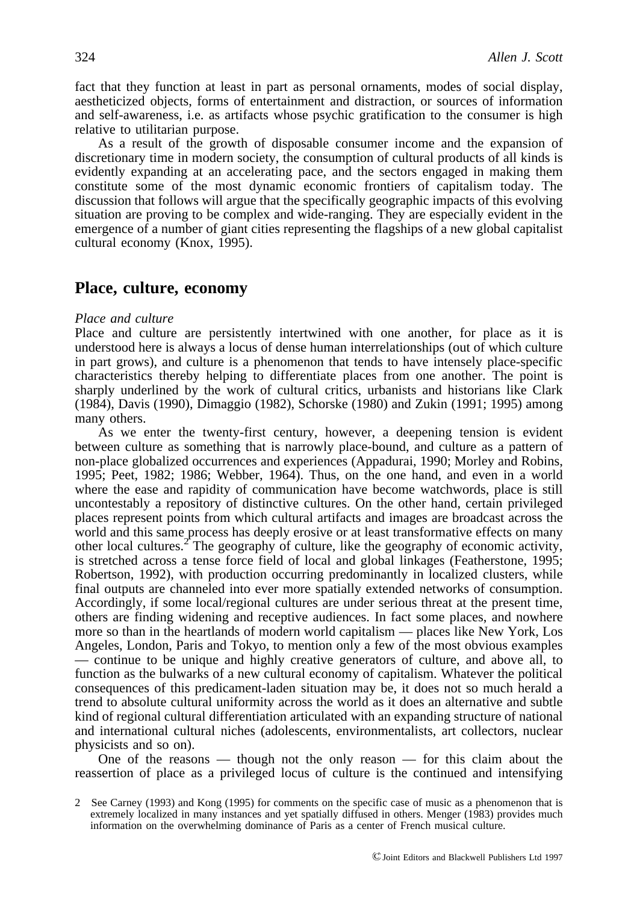fact that they function at least in part as personal ornaments, modes of social display, aestheticized objects, forms of entertainment and distraction, or sources of information and self-awareness, i.e. as artifacts whose psychic gratification to the consumer is high relative to utilitarian purpose.

As a result of the growth of disposable consumer income and the expansion of discretionary time in modern society, the consumption of cultural products of all kinds is evidently expanding at an accelerating pace, and the sectors engaged in making them constitute some of the most dynamic economic frontiers of capitalism today. The discussion that follows will argue that the specifically geographic impacts of this evolving situation are proving to be complex and wide-ranging. They are especially evident in the emergence of a number of giant cities representing the flagships of a new global capitalist cultural economy (Knox, 1995).

## **Place, culture, economy**

### *Place and culture*

Place and culture are persistently intertwined with one another, for place as it is understood here is always a locus of dense human interrelationships (out of which culture in part grows), and culture is a phenomenon that tends to have intensely place-specific characteristics thereby helping to differentiate places from one another. The point is sharply underlined by the work of cultural critics, urbanists and historians like Clark (1984), Davis (1990), Dimaggio (1982), Schorske (1980) and Zukin (1991; 1995) among many others.

As we enter the twenty-first century, however, a deepening tension is evident between culture as something that is narrowly place-bound, and culture as a pattern of non-place globalized occurrences and experiences (Appadurai, 1990; Morley and Robins, 1995; Peet, 1982; 1986; Webber, 1964). Thus, on the one hand, and even in a world where the ease and rapidity of communication have become watchwords, place is still uncontestably a repository of distinctive cultures. On the other hand, certain privileged places represent points from which cultural artifacts and images are broadcast across the world and this same process has deeply erosive or at least transformative effects on many other local cultures.<sup>2</sup> The geography of culture, like the geography of economic activity, is stretched across a tense force field of local and global linkages (Featherstone, 1995; Robertson, 1992), with production occurring predominantly in localized clusters, while final outputs are channeled into ever more spatially extended networks of consumption. Accordingly, if some local/regional cultures are under serious threat at the present time, others are finding widening and receptive audiences. In fact some places, and nowhere more so than in the heartlands of modern world capitalism — places like New York, Los Angeles, London, Paris and Tokyo, to mention only a few of the most obvious examples — continue to be unique and highly creative generators of culture, and above all, to function as the bulwarks of a new cultural economy of capitalism. Whatever the political consequences of this predicament-laden situation may be, it does not so much herald a trend to absolute cultural uniformity across the world as it does an alternative and subtle kind of regional cultural differentiation articulated with an expanding structure of national and international cultural niches (adolescents, environmentalists, art collectors, nuclear physicists and so on).

One of the reasons — though not the only reason — for this claim about the reassertion of place as a privileged locus of culture is the continued and intensifying

<sup>2</sup> See Carney (1993) and Kong (1995) for comments on the specific case of music as a phenomenon that is extremely localized in many instances and yet spatially diffused in others. Menger (1983) provides much information on the overwhelming dominance of Paris as a center of French musical culture.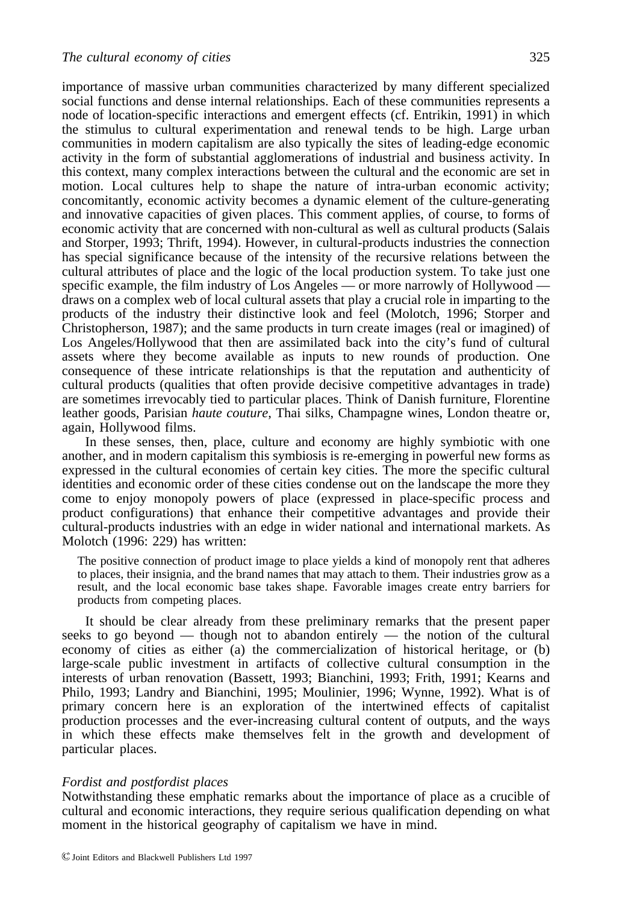importance of massive urban communities characterized by many different specialized social functions and dense internal relationships. Each of these communities represents a node of location-specific interactions and emergent effects (cf. Entrikin, 1991) in which the stimulus to cultural experimentation and renewal tends to be high. Large urban communities in modern capitalism are also typically the sites of leading-edge economic activity in the form of substantial agglomerations of industrial and business activity. In this context, many complex interactions between the cultural and the economic are set in motion. Local cultures help to shape the nature of intra-urban economic activity; concomitantly, economic activity becomes a dynamic element of the culture-generating and innovative capacities of given places. This comment applies, of course, to forms of economic activity that are concerned with non-cultural as well as cultural products (Salais and Storper, 1993; Thrift, 1994). However, in cultural-products industries the connection has special significance because of the intensity of the recursive relations between the cultural attributes of place and the logic of the local production system. To take just one specific example, the film industry of Los Angeles — or more narrowly of Hollywood draws on a complex web of local cultural assets that play a crucial role in imparting to the products of the industry their distinctive look and feel (Molotch, 1996; Storper and Christopherson, 1987); and the same products in turn create images (real or imagined) of Los Angeles/Hollywood that then are assimilated back into the city's fund of cultural assets where they become available as inputs to new rounds of production. One consequence of these intricate relationships is that the reputation and authenticity of cultural products (qualities that often provide decisive competitive advantages in trade) are sometimes irrevocably tied to particular places. Think of Danish furniture, Florentine leather goods, Parisian *haute couture*, Thai silks, Champagne wines, London theatre or, again, Hollywood films.

In these senses, then, place, culture and economy are highly symbiotic with one another, and in modern capitalism this symbiosis is re-emerging in powerful new forms as expressed in the cultural economies of certain key cities. The more the specific cultural identities and economic order of these cities condense out on the landscape the more they come to enjoy monopoly powers of place (expressed in place-specific process and product configurations) that enhance their competitive advantages and provide their cultural-products industries with an edge in wider national and international markets. As Molotch (1996: 229) has written:

The positive connection of product image to place yields a kind of monopoly rent that adheres to places, their insignia, and the brand names that may attach to them. Their industries grow as a result, and the local economic base takes shape. Favorable images create entry barriers for products from competing places.

It should be clear already from these preliminary remarks that the present paper seeks to go beyond — though not to abandon entirely — the notion of the cultural economy of cities as either (a) the commercialization of historical heritage, or (b) large-scale public investment in artifacts of collective cultural consumption in the interests of urban renovation (Bassett, 1993; Bianchini, 1993; Frith, 1991; Kearns and Philo, 1993; Landry and Bianchini, 1995; Moulinier, 1996; Wynne, 1992). What is of primary concern here is an exploration of the intertwined effects of capitalist production processes and the ever-increasing cultural content of outputs, and the ways in which these effects make themselves felt in the growth and development of particular places.

#### *Fordist and postfordist places*

Notwithstanding these emphatic remarks about the importance of place as a crucible of cultural and economic interactions, they require serious qualification depending on what moment in the historical geography of capitalism we have in mind.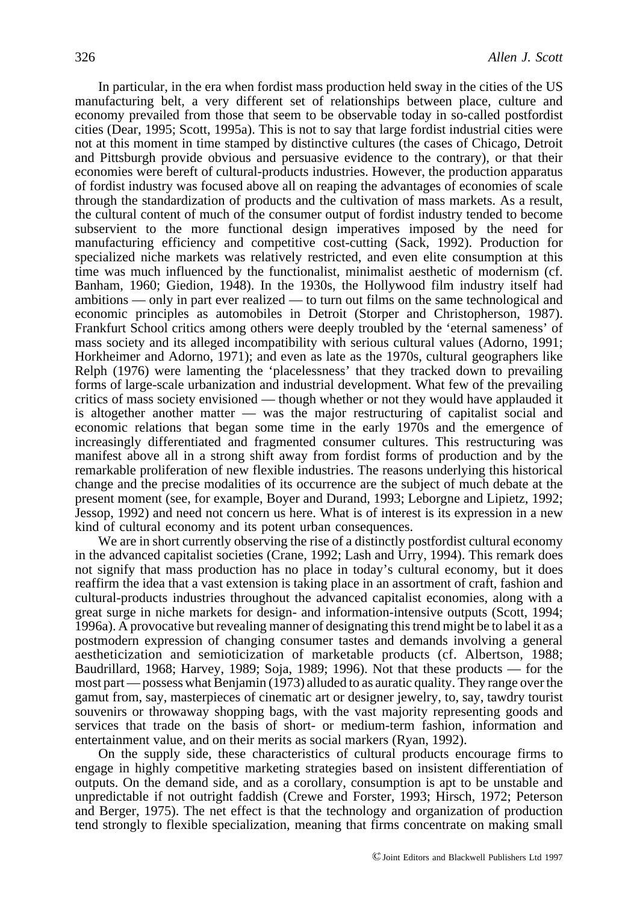In particular, in the era when fordist mass production held sway in the cities of the US manufacturing belt, a very different set of relationships between place, culture and economy prevailed from those that seem to be observable today in so-called postfordist cities (Dear, 1995; Scott, 1995a). This is not to say that large fordist industrial cities were not at this moment in time stamped by distinctive cultures (the cases of Chicago, Detroit and Pittsburgh provide obvious and persuasive evidence to the contrary), or that their economies were bereft of cultural-products industries. However, the production apparatus of fordist industry was focused above all on reaping the advantages of economies of scale through the standardization of products and the cultivation of mass markets. As a result, the cultural content of much of the consumer output of fordist industry tended to become subservient to the more functional design imperatives imposed by the need for manufacturing efficiency and competitive cost-cutting (Sack, 1992). Production for specialized niche markets was relatively restricted, and even elite consumption at this time was much influenced by the functionalist, minimalist aesthetic of modernism (cf. Banham, 1960; Giedion, 1948). In the 1930s, the Hollywood film industry itself had ambitions — only in part ever realized — to turn out films on the same technological and economic principles as automobiles in Detroit (Storper and Christopherson, 1987). Frankfurt School critics among others were deeply troubled by the 'eternal sameness' of mass society and its alleged incompatibility with serious cultural values (Adorno, 1991; Horkheimer and Adorno, 1971); and even as late as the 1970s, cultural geographers like Relph (1976) were lamenting the 'placelessness' that they tracked down to prevailing forms of large-scale urbanization and industrial development. What few of the prevailing critics of mass society envisioned — though whether or not they would have applauded it is altogether another matter — was the major restructuring of capitalist social and economic relations that began some time in the early 1970s and the emergence of increasingly differentiated and fragmented consumer cultures. This restructuring was manifest above all in a strong shift away from fordist forms of production and by the remarkable proliferation of new flexible industries. The reasons underlying this historical change and the precise modalities of its occurrence are the subject of much debate at the present moment (see, for example, Boyer and Durand, 1993; Leborgne and Lipietz, 1992; Jessop, 1992) and need not concern us here. What is of interest is its expression in a new kind of cultural economy and its potent urban consequences.

We are in short currently observing the rise of a distinctly postfordist cultural economy in the advanced capitalist societies (Crane, 1992; Lash and Urry, 1994). This remark does not signify that mass production has no place in today's cultural economy, but it does reaffirm the idea that a vast extension is taking place in an assortment of craft, fashion and cultural-products industries throughout the advanced capitalist economies, along with a great surge in niche markets for design- and information-intensive outputs (Scott, 1994; 1996a). A provocative but revealing manner of designating thistrend might be to label it as a postmodern expression of changing consumer tastes and demands involving a general aestheticization and semioticization of marketable products (cf. Albertson, 1988; Baudrillard, 1968; Harvey, 1989; Soja, 1989; 1996). Not that these products — for the most part — possess what Benjamin (1973) alluded to as auratic quality. They range over the gamut from, say, masterpieces of cinematic art or designer jewelry, to, say, tawdry tourist souvenirs or throwaway shopping bags, with the vast majority representing goods and services that trade on the basis of short- or medium-term fashion, information and entertainment value, and on their merits as social markers (Ryan, 1992).

On the supply side, these characteristics of cultural products encourage firms to engage in highly competitive marketing strategies based on insistent differentiation of outputs. On the demand side, and as a corollary, consumption is apt to be unstable and unpredictable if not outright faddish (Crewe and Forster, 1993; Hirsch, 1972; Peterson and Berger, 1975). The net effect is that the technology and organization of production tend strongly to flexible specialization, meaning that firms concentrate on making small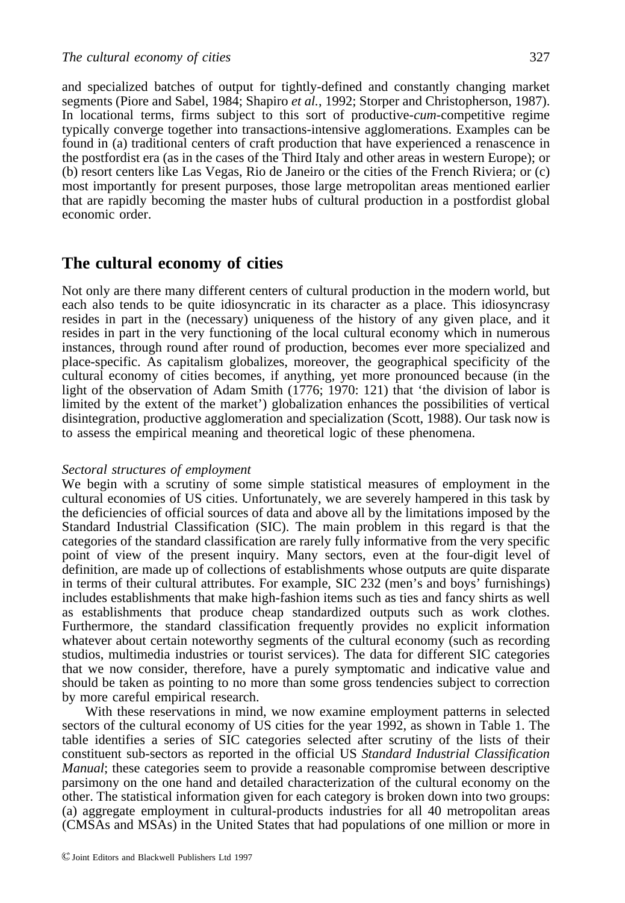and specialized batches of output for tightly-defined and constantly changing market segments (Piore and Sabel, 1984; Shapiro *et al.*, 1992; Storper and Christopherson, 1987). In locational terms, firms subject to this sort of productive-*cum*-competitive regime typically converge together into transactions-intensive agglomerations. Examples can be found in (a) traditional centers of craft production that have experienced a renascence in the postfordist era (as in the cases of the Third Italy and other areas in western Europe); or (b) resort centers like Las Vegas, Rio de Janeiro or the cities of the French Riviera; or (c) most importantly for present purposes, those large metropolitan areas mentioned earlier that are rapidly becoming the master hubs of cultural production in a postfordist global economic order.

# **The cultural economy of cities**

Not only are there many different centers of cultural production in the modern world, but each also tends to be quite idiosyncratic in its character as a place. This idiosyncrasy resides in part in the (necessary) uniqueness of the history of any given place, and it resides in part in the very functioning of the local cultural economy which in numerous instances, through round after round of production, becomes ever more specialized and place-specific. As capitalism globalizes, moreover, the geographical specificity of the cultural economy of cities becomes, if anything, yet more pronounced because (in the light of the observation of Adam Smith (1776; 1970: 121) that 'the division of labor is limited by the extent of the market') globalization enhances the possibilities of vertical disintegration, productive agglomeration and specialization (Scott, 1988). Our task now is to assess the empirical meaning and theoretical logic of these phenomena.

### *Sectoral structures of employment*

We begin with a scrutiny of some simple statistical measures of employment in the cultural economies of US cities. Unfortunately, we are severely hampered in this task by the deficiencies of official sources of data and above all by the limitations imposed by the Standard Industrial Classification (SIC). The main problem in this regard is that the categories of the standard classification are rarely fully informative from the very specific point of view of the present inquiry. Many sectors, even at the four-digit level of definition, are made up of collections of establishments whose outputs are quite disparate in terms of their cultural attributes. For example, SIC 232 (men's and boys' furnishings) includes establishments that make high-fashion items such as ties and fancy shirts as well as establishments that produce cheap standardized outputs such as work clothes. Furthermore, the standard classification frequently provides no explicit information whatever about certain noteworthy segments of the cultural economy (such as recording studios, multimedia industries or tourist services). The data for different SIC categories that we now consider, therefore, have a purely symptomatic and indicative value and should be taken as pointing to no more than some gross tendencies subject to correction by more careful empirical research.

With these reservations in mind, we now examine employment patterns in selected sectors of the cultural economy of US cities for the year 1992, as shown in Table 1. The table identifies a series of SIC categories selected after scrutiny of the lists of their constituent sub-sectors as reported in the official US *Standard Industrial Classification Manual*; these categories seem to provide a reasonable compromise between descriptive parsimony on the one hand and detailed characterization of the cultural economy on the other. The statistical information given for each category is broken down into two groups: (a) aggregate employment in cultural-products industries for all 40 metropolitan areas (CMSAs and MSAs) in the United States that had populations of one million or more in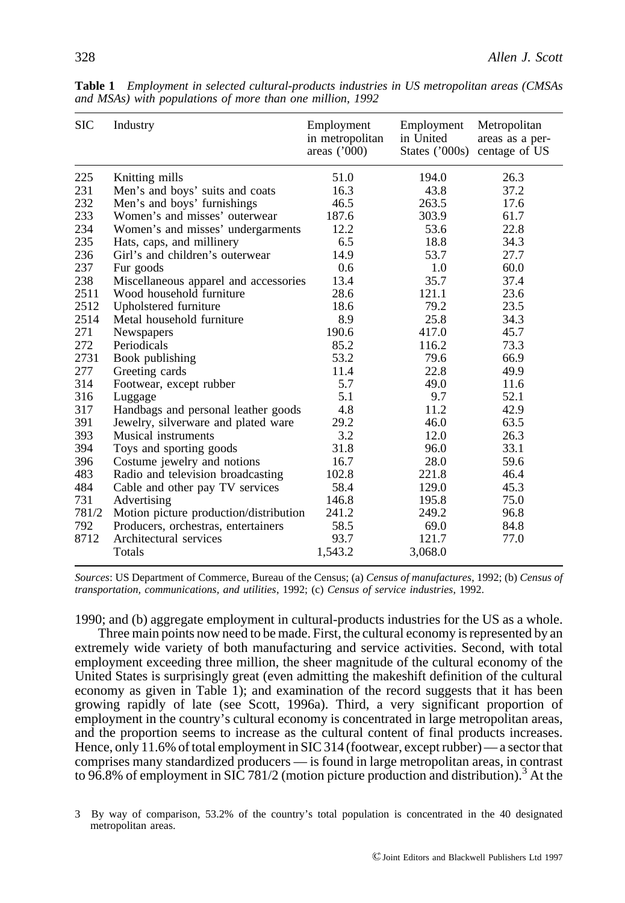| <b>SIC</b> | Industry                               | Employment<br>in metropolitan<br>areas $('000)$ | Employment<br>in United<br>States ('000s) | Metropolitan<br>areas as a per-<br>centage of US |
|------------|----------------------------------------|-------------------------------------------------|-------------------------------------------|--------------------------------------------------|
| 225        | Knitting mills                         | 51.0                                            | 194.0                                     | 26.3                                             |
| 231        | Men's and boys' suits and coats        | 16.3                                            | 43.8                                      | 37.2                                             |
| 232        | Men's and boys' furnishings            | 46.5                                            | 263.5                                     | 17.6                                             |
| 233        | Women's and misses' outerwear          | 187.6                                           | 303.9                                     | 61.7                                             |
| 234        | Women's and misses' undergarments      | 12.2                                            | 53.6                                      | 22.8                                             |
| 235        | Hats, caps, and millinery              | 6.5                                             | 18.8                                      | 34.3                                             |
| 236        | Girl's and children's outerwear        | 14.9                                            | 53.7                                      | 27.7                                             |
| 237        | Fur goods                              | 0.6                                             | 1.0                                       | 60.0                                             |
| 238        | Miscellaneous apparel and accessories  | 13.4                                            | 35.7                                      | 37.4                                             |
| 2511       | Wood household furniture               | 28.6                                            | 121.1                                     | 23.6                                             |
| 2512       | Upholstered furniture                  | 18.6                                            | 79.2                                      | 23.5                                             |
| 2514       | Metal household furniture              | 8.9                                             | 25.8                                      | 34.3                                             |
| 271        | Newspapers                             | 190.6                                           | 417.0                                     | 45.7                                             |
| 272        | Periodicals                            | 85.2                                            | 116.2                                     | 73.3                                             |
| 2731       | Book publishing                        | 53.2                                            | 79.6                                      | 66.9                                             |
| 277        | Greeting cards                         | 11.4                                            | 22.8                                      | 49.9                                             |
| 314        | Footwear, except rubber                | 5.7                                             | 49.0                                      | 11.6                                             |
| 316        | Luggage                                | 5.1                                             | 9.7                                       | 52.1                                             |
| 317        | Handbags and personal leather goods    | 4.8                                             | 11.2                                      | 42.9                                             |
| 391        | Jewelry, silverware and plated ware    | 29.2                                            | 46.0                                      | 63.5                                             |
| 393        | Musical instruments                    | 3.2                                             | 12.0                                      | 26.3                                             |
| 394        | Toys and sporting goods                | 31.8                                            | 96.0                                      | 33.1                                             |
| 396        | Costume jewelry and notions            | 16.7                                            | 28.0                                      | 59.6                                             |
| 483        | Radio and television broadcasting      | 102.8                                           | 221.8                                     | 46.4                                             |
| 484        | Cable and other pay TV services        | 58.4                                            | 129.0                                     | 45.3                                             |
| 731        | Advertising                            | 146.8                                           | 195.8                                     | 75.0                                             |
| 781/2      | Motion picture production/distribution | 241.2                                           | 249.2                                     | 96.8                                             |
| 792        | Producers, orchestras, entertainers    | 58.5                                            | 69.0                                      | 84.8                                             |
| 8712       | Architectural services                 | 93.7                                            | 121.7                                     | 77.0                                             |
|            | Totals                                 | 1,543.2                                         | 3,068.0                                   |                                                  |

**Table 1** *Employment in selected cultural-products industries in US metropolitan areas (CMSAs and MSAs) with populations of more than one million, 1992*

*Sources*: US Department of Commerce, Bureau of the Census; (a) *Census of manufactures*, 1992; (b) *Census of transportation, communications, and utilities*, 1992; (c) *Census of service industries*, 1992.

1990; and (b) aggregate employment in cultural-products industries for the US as a whole.

Three main points now need to be made. First, the cultural economy is represented by an extremely wide variety of both manufacturing and service activities. Second, with total employment exceeding three million, the sheer magnitude of the cultural economy of the United States is surprisingly great (even admitting the makeshift definition of the cultural economy as given in Table 1); and examination of the record suggests that it has been growing rapidly of late (see Scott, 1996a). Third, a very significant proportion of employment in the country's cultural economy is concentrated in large metropolitan areas, and the proportion seems to increase as the cultural content of final products increases. Hence, only 11.6% of total employment in SIC 314 (footwear, except rubber) — a sector that comprises many standardized producers — is found in large metropolitan areas, in contrast to 96.8% of employment in SIC 781/2 (motion picture production and distribution).<sup>3</sup> At the

3 By way of comparison, 53.2% of the country's total population is concentrated in the 40 designated metropolitan areas.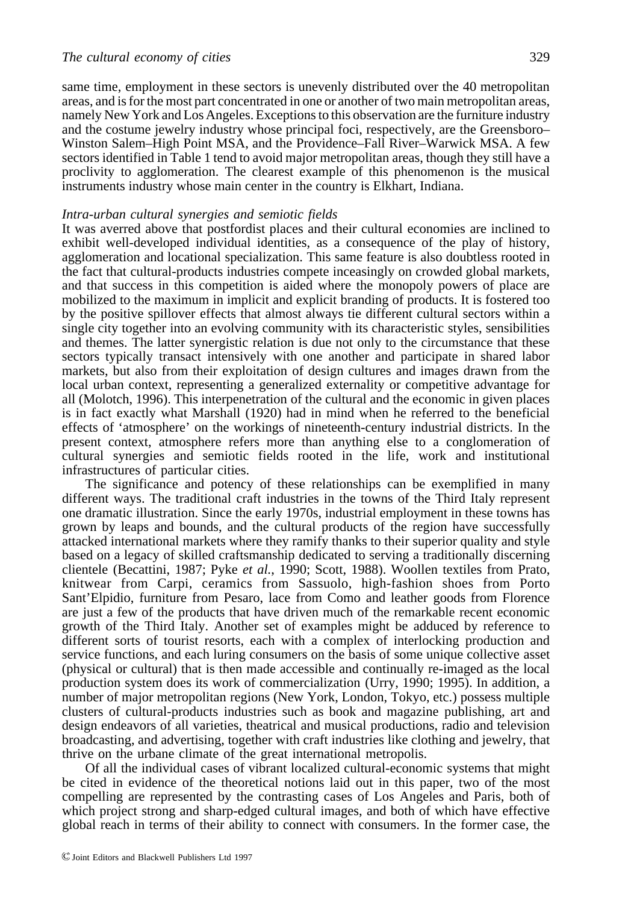same time, employment in these sectors is unevenly distributed over the 40 metropolitan areas, and isfor the most part concentrated in one or another of two main metropolitan areas, namely New York and Los Angeles. Exceptionsto this observation are the furniture industry and the costume jewelry industry whose principal foci, respectively, are the Greensboro– Winston Salem–High Point MSA, and the Providence–Fall River–Warwick MSA. A few sectors identified in Table 1 tend to avoid major metropolitan areas, though they still have a proclivity to agglomeration. The clearest example of this phenomenon is the musical instruments industry whose main center in the country is Elkhart, Indiana.

#### *Intra-urban cultural synergies and semiotic fields*

It was averred above that postfordist places and their cultural economies are inclined to exhibit well-developed individual identities, as a consequence of the play of history, agglomeration and locational specialization. This same feature is also doubtless rooted in the fact that cultural-products industries compete inceasingly on crowded global markets, and that success in this competition is aided where the monopoly powers of place are mobilized to the maximum in implicit and explicit branding of products. It is fostered too by the positive spillover effects that almost always tie different cultural sectors within a single city together into an evolving community with its characteristic styles, sensibilities and themes. The latter synergistic relation is due not only to the circumstance that these sectors typically transact intensively with one another and participate in shared labor markets, but also from their exploitation of design cultures and images drawn from the local urban context, representing a generalized externality or competitive advantage for all (Molotch, 1996). This interpenetration of the cultural and the economic in given places is in fact exactly what Marshall (1920) had in mind when he referred to the beneficial effects of 'atmosphere' on the workings of nineteenth-century industrial districts. In the present context, atmosphere refers more than anything else to a conglomeration of cultural synergies and semiotic fields rooted in the life, work and institutional infrastructures of particular cities.

The significance and potency of these relationships can be exemplified in many different ways. The traditional craft industries in the towns of the Third Italy represent one dramatic illustration. Since the early 1970s, industrial employment in these towns has grown by leaps and bounds, and the cultural products of the region have successfully attacked international markets where they ramify thanks to their superior quality and style based on a legacy of skilled craftsmanship dedicated to serving a traditionally discerning clientele (Becattini, 1987; Pyke *et al.*, 1990; Scott, 1988). Woollen textiles from Prato, knitwear from Carpi, ceramics from Sassuolo, high-fashion shoes from Porto Sant'Elpidio, furniture from Pesaro, lace from Como and leather goods from Florence are just a few of the products that have driven much of the remarkable recent economic growth of the Third Italy. Another set of examples might be adduced by reference to different sorts of tourist resorts, each with a complex of interlocking production and service functions, and each luring consumers on the basis of some unique collective asset (physical or cultural) that is then made accessible and continually re-imaged as the local production system does its work of commercialization (Urry, 1990; 1995). In addition, a number of major metropolitan regions (New York, London, Tokyo, etc.) possess multiple clusters of cultural-products industries such as book and magazine publishing, art and design endeavors of all varieties, theatrical and musical productions, radio and television broadcasting, and advertising, together with craft industries like clothing and jewelry, that thrive on the urbane climate of the great international metropolis.

Of all the individual cases of vibrant localized cultural-economic systems that might be cited in evidence of the theoretical notions laid out in this paper, two of the most compelling are represented by the contrasting cases of Los Angeles and Paris, both of which project strong and sharp-edged cultural images, and both of which have effective global reach in terms of their ability to connect with consumers. In the former case, the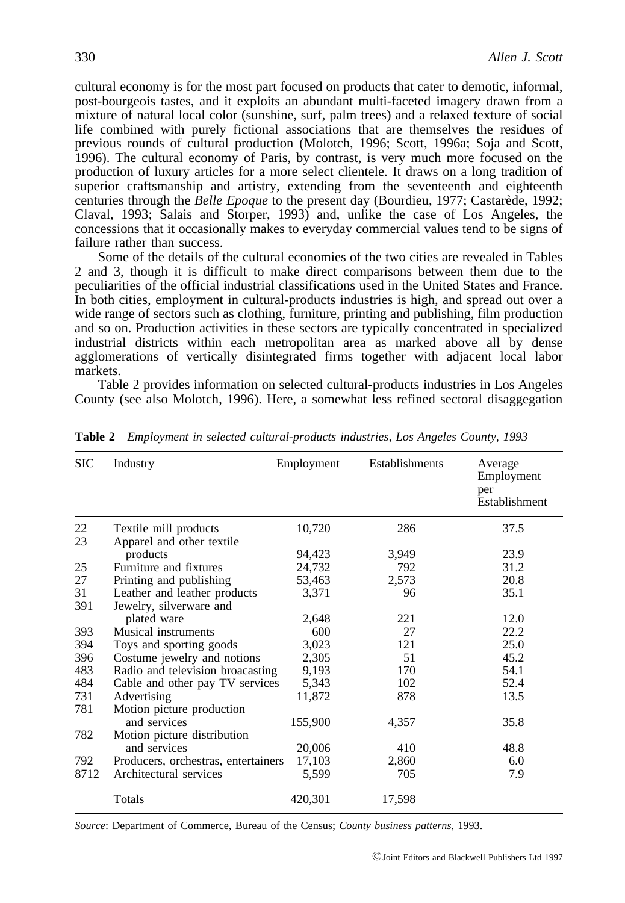cultural economy is for the most part focused on products that cater to demotic, informal, post-bourgeois tastes, and it exploits an abundant multi-faceted imagery drawn from a mixture of natural local color (sunshine, surf, palm trees) and a relaxed texture of social life combined with purely fictional associations that are themselves the residues of previous rounds of cultural production (Molotch, 1996; Scott, 1996a; Soja and Scott, 1996). The cultural economy of Paris, by contrast, is very much more focused on the production of luxury articles for a more select clientele. It draws on a long tradition of superior craftsmanship and artistry, extending from the seventeenth and eighteenth centuries through the *Belle Epoque* to the present day (Bourdieu, 1977; Castare`de, 1992; Claval, 1993; Salais and Storper, 1993) and, unlike the case of Los Angeles, the concessions that it occasionally makes to everyday commercial values tend to be signs of failure rather than success.

Some of the details of the cultural economies of the two cities are revealed in Tables 2 and 3, though it is difficult to make direct comparisons between them due to the peculiarities of the official industrial classifications used in the United States and France. In both cities, employment in cultural-products industries is high, and spread out over a wide range of sectors such as clothing, furniture, printing and publishing, film production and so on. Production activities in these sectors are typically concentrated in specialized industrial districts within each metropolitan area as marked above all by dense agglomerations of vertically disintegrated firms together with adjacent local labor markets.

Table 2 provides information on selected cultural-products industries in Los Angeles County (see also Molotch, 1996). Here, a somewhat less refined sectoral disaggegation

| <b>SIC</b> | Industry                            | Employment | Establishments | Average<br>Employment<br>per<br>Establishment |
|------------|-------------------------------------|------------|----------------|-----------------------------------------------|
| 22         | Textile mill products               | 10,720     | 286            | 37.5                                          |
| 23         | Apparel and other textile           |            |                |                                               |
|            | products                            | 94,423     | 3,949          | 23.9                                          |
| 25         | Furniture and fixtures              | 24,732     | 792            | 31.2                                          |
| 27         | Printing and publishing             | 53,463     | 2,573          | 20.8                                          |
| 31         | Leather and leather products        | 3,371      | 96             | 35.1                                          |
| 391        | Jewelry, silverware and             |            |                |                                               |
|            | plated ware                         | 2,648      | 221            | 12.0                                          |
| 393        | <b>Musical instruments</b>          | 600        | 27             | 22.2                                          |
| 394        | Toys and sporting goods             | 3,023      | 121            | 25.0                                          |
| 396        | Costume jewelry and notions         | 2,305      | 51             | 45.2                                          |
| 483        | Radio and television broacasting    | 9,193      | 170            | 54.1                                          |
| 484        | Cable and other pay TV services     | 5,343      | 102            | 52.4                                          |
| 731        | Advertising                         | 11,872     | 878            | 13.5                                          |
| 781        | Motion picture production           |            |                |                                               |
|            | and services                        | 155,900    | 4,357          | 35.8                                          |
| 782        | Motion picture distribution         |            |                |                                               |
|            | and services                        | 20,006     | 410            | 48.8                                          |
| 792        | Producers, orchestras, entertainers | 17,103     | 2,860          | 6.0                                           |
| 8712       | Architectural services              | 5,599      | 705            | 7.9                                           |
|            | Totals                              | 420,301    | 17,598         |                                               |

**Table 2** *Employment in selected cultural-products industries, Los Angeles County, 1993*

*Source*: Department of Commerce, Bureau of the Census; *County business patterns*, 1993.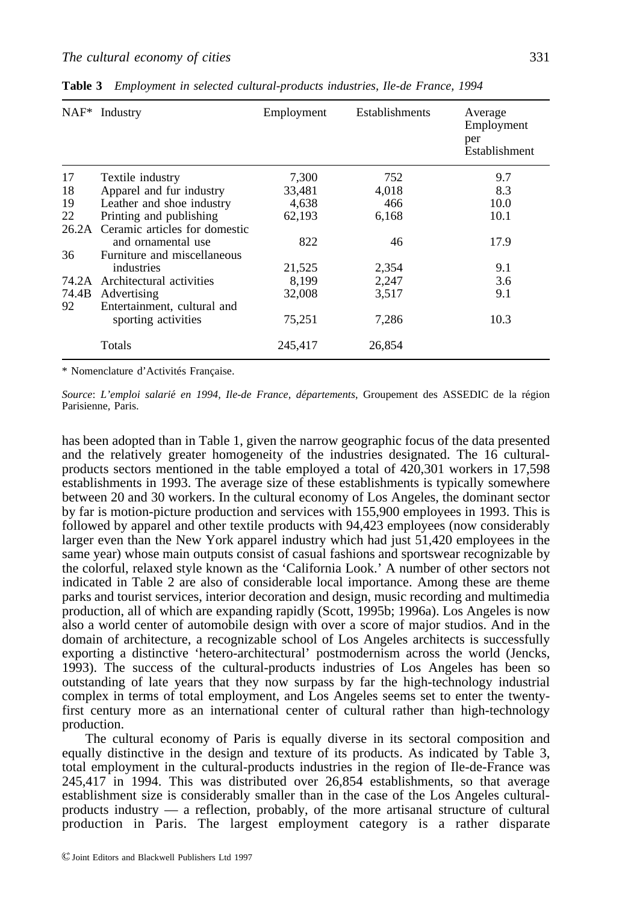| $NAF*$ | Industry                            | Employment | Establishments | Average<br>Employment<br>per<br>Establishment |
|--------|-------------------------------------|------------|----------------|-----------------------------------------------|
| 17     | Textile industry                    | 7,300      | 752            | 9.7                                           |
| 18     | Apparel and fur industry            | 33,481     | 4,018          | 8.3                                           |
| 19     | Leather and shoe industry           | 4,638      | 466            | 10.0                                          |
| 22     | Printing and publishing             | 62,193     | 6,168          | 10.1                                          |
|        | 26.2A Ceramic articles for domestic |            |                |                                               |
|        | and ornamental use                  | 822        | 46             | 17.9                                          |
| 36     | Furniture and miscellaneous         |            |                |                                               |
|        | industries                          | 21,525     | 2,354          | 9.1                                           |
| 74.2A  | Architectural activities            | 8,199      | 2,247          | 3.6                                           |
| 74.4B  | Advertising                         | 32,008     | 3,517          | 9.1                                           |
| 92     | Entertainment, cultural and         |            |                |                                               |
|        | sporting activities                 | 75,251     | 7,286          | 10.3                                          |
|        | Totals                              | 245,417    | 26,854         |                                               |

**Table 3** *Employment in selected cultural-products industries, Ile-de France, 1994*

\* Nomenclature d'Activités Française.

*Source: L'emploi salarié en 1994, Ile-de France, départements, Groupement des ASSEDIC de la région* Parisienne, Paris.

has been adopted than in Table 1, given the narrow geographic focus of the data presented and the relatively greater homogeneity of the industries designated. The 16 culturalproducts sectors mentioned in the table employed a total of 420,301 workers in 17,598 establishments in 1993. The average size of these establishments is typically somewhere between 20 and 30 workers. In the cultural economy of Los Angeles, the dominant sector by far is motion-picture production and services with 155,900 employees in 1993. This is followed by apparel and other textile products with 94,423 employees (now considerably larger even than the New York apparel industry which had just 51,420 employees in the same year) whose main outputs consist of casual fashions and sportswear recognizable by the colorful, relaxed style known as the 'California Look.' A number of other sectors not indicated in Table 2 are also of considerable local importance. Among these are theme parks and tourist services, interior decoration and design, music recording and multimedia production, all of which are expanding rapidly (Scott, 1995b; 1996a). Los Angeles is now also a world center of automobile design with over a score of major studios. And in the domain of architecture, a recognizable school of Los Angeles architects is successfully exporting a distinctive 'hetero-architectural' postmodernism across the world (Jencks, 1993). The success of the cultural-products industries of Los Angeles has been so outstanding of late years that they now surpass by far the high-technology industrial complex in terms of total employment, and Los Angeles seems set to enter the twentyfirst century more as an international center of cultural rather than high-technology production.

The cultural economy of Paris is equally diverse in its sectoral composition and equally distinctive in the design and texture of its products. As indicated by Table 3, total employment in the cultural-products industries in the region of Ile-de-France was 245,417 in 1994. This was distributed over 26,854 establishments, so that average establishment size is considerably smaller than in the case of the Los Angeles culturalproducts industry — a reflection, probably, of the more artisanal structure of cultural production in Paris. The largest employment category is a rather disparate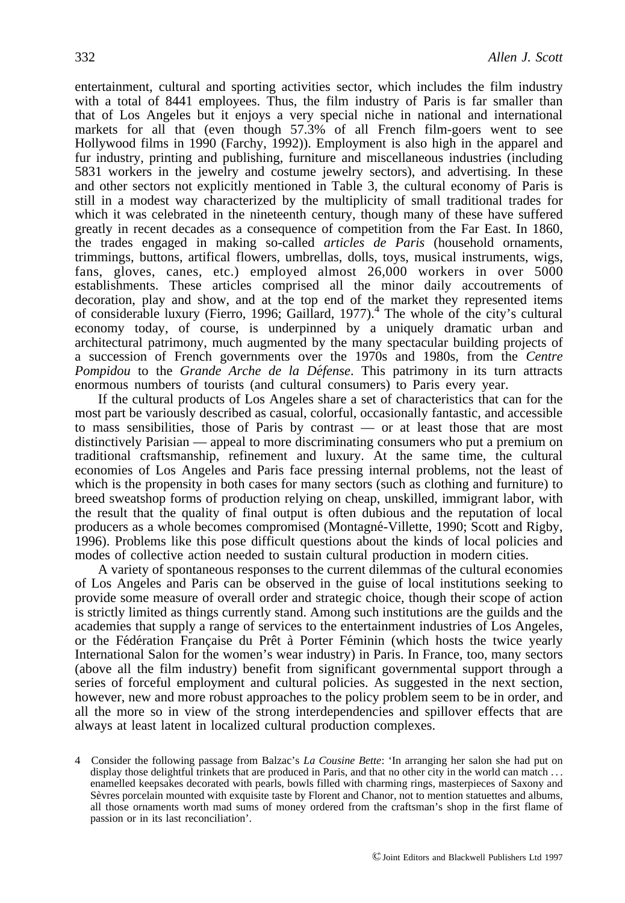entertainment, cultural and sporting activities sector, which includes the film industry with a total of 8441 employees. Thus, the film industry of Paris is far smaller than that of Los Angeles but it enjoys a very special niche in national and international markets for all that (even though 57.3% of all French film-goers went to see Hollywood films in 1990 (Farchy, 1992)). Employment is also high in the apparel and fur industry, printing and publishing, furniture and miscellaneous industries (including 5831 workers in the jewelry and costume jewelry sectors), and advertising. In these and other sectors not explicitly mentioned in Table 3, the cultural economy of Paris is still in a modest way characterized by the multiplicity of small traditional trades for which it was celebrated in the nineteenth century, though many of these have suffered greatly in recent decades as a consequence of competition from the Far East. In 1860, the trades engaged in making so-called *articles de Paris* (household ornaments, trimmings, buttons, artifical flowers, umbrellas, dolls, toys, musical instruments, wigs, fans, gloves, canes, etc.) employed almost 26,000 workers in over 5000 establishments. These articles comprised all the minor daily accoutrements of decoration, play and show, and at the top end of the market they represented items of considerable luxury (Fierro, 1996; Gaillard, 1977).<sup>4</sup> The whole of the city's cultural economy today, of course, is underpinned by a uniquely dramatic urban and architectural patrimony, much augmented by the many spectacular building projects of a succession of French governments over the 1970s and 1980s, from the *Centre Pompidou* to the *Grande Arche de la De´fense*. This patrimony in its turn attracts enormous numbers of tourists (and cultural consumers) to Paris every year.

If the cultural products of Los Angeles share a set of characteristics that can for the most part be variously described as casual, colorful, occasionally fantastic, and accessible to mass sensibilities, those of Paris by contrast — or at least those that are most distinctively Parisian — appeal to more discriminating consumers who put a premium on traditional craftsmanship, refinement and luxury. At the same time, the cultural economies of Los Angeles and Paris face pressing internal problems, not the least of which is the propensity in both cases for many sectors (such as clothing and furniture) to breed sweatshop forms of production relying on cheap, unskilled, immigrant labor, with the result that the quality of final output is often dubious and the reputation of local producers as a whole becomes compromised (Montagné-Villette, 1990; Scott and Rigby, 1996). Problems like this pose difficult questions about the kinds of local policies and modes of collective action needed to sustain cultural production in modern cities.

A variety of spontaneous responses to the current dilemmas of the cultural economies of Los Angeles and Paris can be observed in the guise of local institutions seeking to provide some measure of overall order and strategic choice, though their scope of action is strictly limited as things currently stand. Among such institutions are the guilds and the academies that supply a range of services to the entertainment industries of Los Angeles, or the Fédération Francaise du Prêt à Porter Féminin (which hosts the twice yearly International Salon for the women's wear industry) in Paris. In France, too, many sectors (above all the film industry) benefit from significant governmental support through a series of forceful employment and cultural policies. As suggested in the next section, however, new and more robust approaches to the policy problem seem to be in order, and all the more so in view of the strong interdependencies and spillover effects that are always at least latent in localized cultural production complexes.

<sup>4</sup> Consider the following passage from Balzac's *La Cousine Bette*: 'In arranging her salon she had put on display those delightful trinkets that are produced in Paris, and that no other city in the world can match ... enamelled keepsakes decorated with pearls, bowls filled with charming rings, masterpieces of Saxony and Sèvres porcelain mounted with exquisite taste by Florent and Chanor, not to mention statuettes and albums, all those ornaments worth mad sums of money ordered from the craftsman's shop in the first flame of passion or in its last reconciliation'.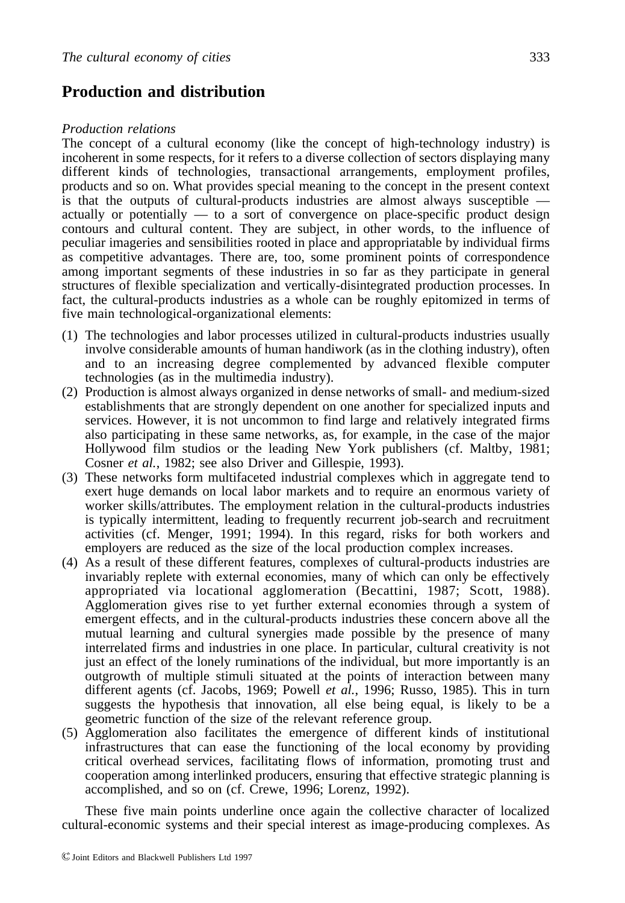# **Production and distribution**

### *Production relations*

The concept of a cultural economy (like the concept of high-technology industry) is incoherent in some respects, for it refers to a diverse collection of sectors displaying many different kinds of technologies, transactional arrangements, employment profiles, products and so on. What provides special meaning to the concept in the present context is that the outputs of cultural-products industries are almost always susceptible actually or potentially  $-$  to a sort of convergence on place-specific product design contours and cultural content. They are subject, in other words, to the influence of peculiar imageries and sensibilities rooted in place and appropriatable by individual firms as competitive advantages. There are, too, some prominent points of correspondence among important segments of these industries in so far as they participate in general structures of flexible specialization and vertically-disintegrated production processes. In fact, the cultural-products industries as a whole can be roughly epitomized in terms of five main technological-organizational elements:

- (1) The technologies and labor processes utilized in cultural-products industries usually involve considerable amounts of human handiwork (as in the clothing industry), often and to an increasing degree complemented by advanced flexible computer technologies (as in the multimedia industry).
- (2) Production is almost always organized in dense networks of small- and medium-sized establishments that are strongly dependent on one another for specialized inputs and services. However, it is not uncommon to find large and relatively integrated firms also participating in these same networks, as, for example, in the case of the major Hollywood film studios or the leading New York publishers (cf. Maltby, 1981; Cosner *et al.*, 1982; see also Driver and Gillespie, 1993).
- (3) These networks form multifaceted industrial complexes which in aggregate tend to exert huge demands on local labor markets and to require an enormous variety of worker skills/attributes. The employment relation in the cultural-products industries is typically intermittent, leading to frequently recurrent job-search and recruitment activities (cf. Menger, 1991; 1994). In this regard, risks for both workers and employers are reduced as the size of the local production complex increases.
- (4) As a result of these different features, complexes of cultural-products industries are invariably replete with external economies, many of which can only be effectively appropriated via locational agglomeration (Becattini, 1987; Scott, 1988). Agglomeration gives rise to yet further external economies through a system of emergent effects, and in the cultural-products industries these concern above all the mutual learning and cultural synergies made possible by the presence of many interrelated firms and industries in one place. In particular, cultural creativity is not just an effect of the lonely ruminations of the individual, but more importantly is an outgrowth of multiple stimuli situated at the points of interaction between many different agents (cf. Jacobs, 1969; Powell *et al.*, 1996; Russo, 1985). This in turn suggests the hypothesis that innovation, all else being equal, is likely to be a geometric function of the size of the relevant reference group.
- (5) Agglomeration also facilitates the emergence of different kinds of institutional infrastructures that can ease the functioning of the local economy by providing critical overhead services, facilitating flows of information, promoting trust and cooperation among interlinked producers, ensuring that effective strategic planning is accomplished, and so on (cf. Crewe, 1996; Lorenz, 1992).

These five main points underline once again the collective character of localized cultural-economic systems and their special interest as image-producing complexes. As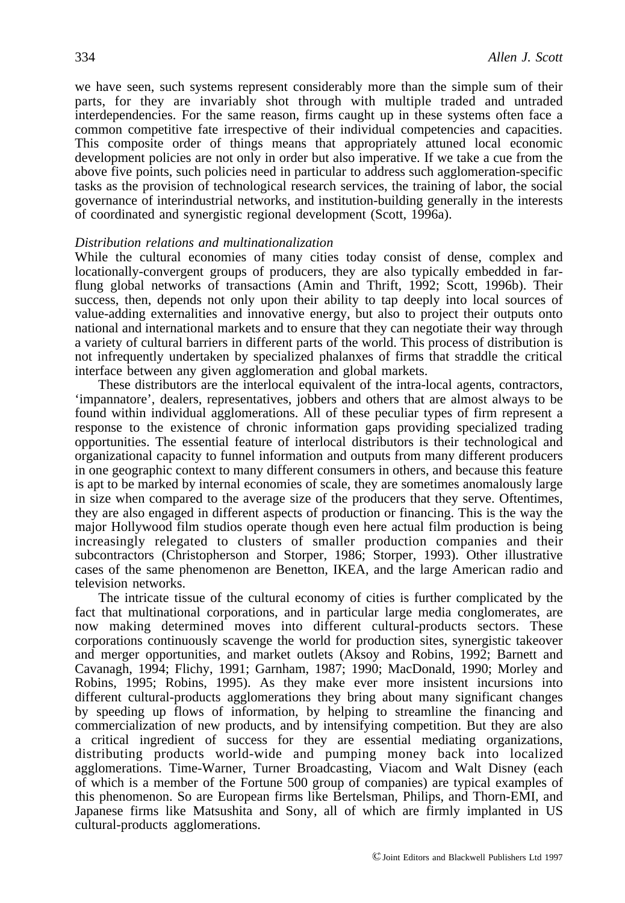we have seen, such systems represent considerably more than the simple sum of their parts, for they are invariably shot through with multiple traded and untraded interdependencies. For the same reason, firms caught up in these systems often face a common competitive fate irrespective of their individual competencies and capacities. This composite order of things means that appropriately attuned local economic development policies are not only in order but also imperative. If we take a cue from the above five points, such policies need in particular to address such agglomeration-specific tasks as the provision of technological research services, the training of labor, the social governance of interindustrial networks, and institution-building generally in the interests of coordinated and synergistic regional development (Scott, 1996a).

#### *Distribution relations and multinationalization*

While the cultural economies of many cities today consist of dense, complex and locationally-convergent groups of producers, they are also typically embedded in farflung global networks of transactions (Amin and Thrift, 1992; Scott, 1996b). Their success, then, depends not only upon their ability to tap deeply into local sources of value-adding externalities and innovative energy, but also to project their outputs onto national and international markets and to ensure that they can negotiate their way through a variety of cultural barriers in different parts of the world. This process of distribution is not infrequently undertaken by specialized phalanxes of firms that straddle the critical interface between any given agglomeration and global markets.

These distributors are the interlocal equivalent of the intra-local agents, contractors, 'impannatore', dealers, representatives, jobbers and others that are almost always to be found within individual agglomerations. All of these peculiar types of firm represent a response to the existence of chronic information gaps providing specialized trading opportunities. The essential feature of interlocal distributors is their technological and organizational capacity to funnel information and outputs from many different producers in one geographic context to many different consumers in others, and because this feature is apt to be marked by internal economies of scale, they are sometimes anomalously large in size when compared to the average size of the producers that they serve. Oftentimes, they are also engaged in different aspects of production or financing. This is the way the major Hollywood film studios operate though even here actual film production is being increasingly relegated to clusters of smaller production companies and their subcontractors (Christopherson and Storper, 1986; Storper, 1993). Other illustrative cases of the same phenomenon are Benetton, IKEA, and the large American radio and television networks.

The intricate tissue of the cultural economy of cities is further complicated by the fact that multinational corporations, and in particular large media conglomerates, are now making determined moves into different cultural-products sectors. These corporations continuously scavenge the world for production sites, synergistic takeover and merger opportunities, and market outlets (Aksoy and Robins, 1992; Barnett and Cavanagh, 1994; Flichy, 1991; Garnham, 1987; 1990; MacDonald, 1990; Morley and Robins, 1995; Robins, 1995). As they make ever more insistent incursions into different cultural-products agglomerations they bring about many significant changes by speeding up flows of information, by helping to streamline the financing and commercialization of new products, and by intensifying competition. But they are also a critical ingredient of success for they are essential mediating organizations, distributing products world-wide and pumping money back into localized agglomerations. Time-Warner, Turner Broadcasting, Viacom and Walt Disney (each of which is a member of the Fortune 500 group of companies) are typical examples of this phenomenon. So are European firms like Bertelsman, Philips, and Thorn-EMI, and Japanese firms like Matsushita and Sony, all of which are firmly implanted in US cultural-products agglomerations.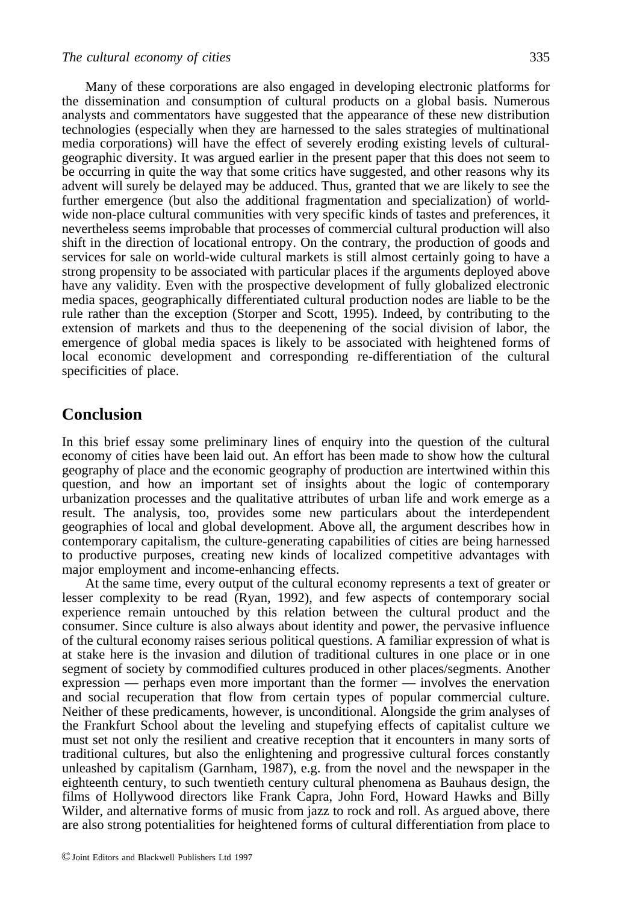Many of these corporations are also engaged in developing electronic platforms for the dissemination and consumption of cultural products on a global basis. Numerous analysts and commentators have suggested that the appearance of these new distribution technologies (especially when they are harnessed to the sales strategies of multinational media corporations) will have the effect of severely eroding existing levels of culturalgeographic diversity. It was argued earlier in the present paper that this does not seem to be occurring in quite the way that some critics have suggested, and other reasons why its advent will surely be delayed may be adduced. Thus, granted that we are likely to see the further emergence (but also the additional fragmentation and specialization) of worldwide non-place cultural communities with very specific kinds of tastes and preferences, it nevertheless seems improbable that processes of commercial cultural production will also shift in the direction of locational entropy. On the contrary, the production of goods and services for sale on world-wide cultural markets is still almost certainly going to have a strong propensity to be associated with particular places if the arguments deployed above have any validity. Even with the prospective development of fully globalized electronic media spaces, geographically differentiated cultural production nodes are liable to be the rule rather than the exception (Storper and Scott, 1995). Indeed, by contributing to the extension of markets and thus to the deepenening of the social division of labor, the emergence of global media spaces is likely to be associated with heightened forms of local economic development and corresponding re-differentiation of the cultural specificities of place.

# **Conclusion**

In this brief essay some preliminary lines of enquiry into the question of the cultural economy of cities have been laid out. An effort has been made to show how the cultural geography of place and the economic geography of production are intertwined within this question, and how an important set of insights about the logic of contemporary urbanization processes and the qualitative attributes of urban life and work emerge as a result. The analysis, too, provides some new particulars about the interdependent geographies of local and global development. Above all, the argument describes how in contemporary capitalism, the culture-generating capabilities of cities are being harnessed to productive purposes, creating new kinds of localized competitive advantages with major employment and income-enhancing effects.

At the same time, every output of the cultural economy represents a text of greater or lesser complexity to be read (Ryan, 1992), and few aspects of contemporary social experience remain untouched by this relation between the cultural product and the consumer. Since culture is also always about identity and power, the pervasive influence of the cultural economy raises serious political questions. A familiar expression of what is at stake here is the invasion and dilution of traditional cultures in one place or in one segment of society by commodified cultures produced in other places/segments. Another expression — perhaps even more important than the former — involves the enervation and social recuperation that flow from certain types of popular commercial culture. Neither of these predicaments, however, is unconditional. Alongside the grim analyses of the Frankfurt School about the leveling and stupefying effects of capitalist culture we must set not only the resilient and creative reception that it encounters in many sorts of traditional cultures, but also the enlightening and progressive cultural forces constantly unleashed by capitalism (Garnham, 1987), e.g. from the novel and the newspaper in the eighteenth century, to such twentieth century cultural phenomena as Bauhaus design, the films of Hollywood directors like Frank Capra, John Ford, Howard Hawks and Billy Wilder, and alternative forms of music from jazz to rock and roll. As argued above, there are also strong potentialities for heightened forms of cultural differentiation from place to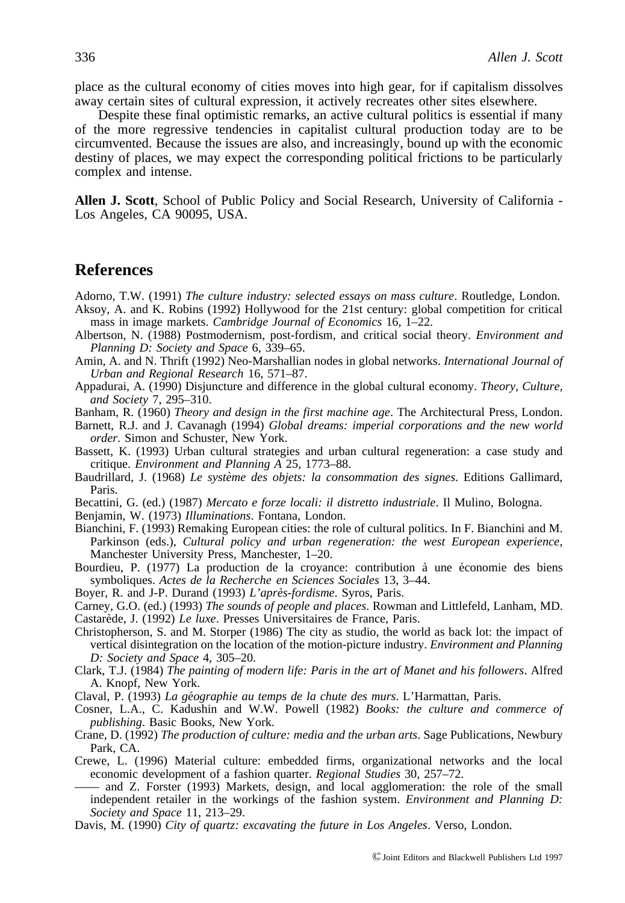place as the cultural economy of cities moves into high gear, for if capitalism dissolves away certain sites of cultural expression, it actively recreates other sites elsewhere.

Despite these final optimistic remarks, an active cultural politics is essential if many of the more regressive tendencies in capitalist cultural production today are to be circumvented. Because the issues are also, and increasingly, bound up with the economic destiny of places, we may expect the corresponding political frictions to be particularly complex and intense.

**Allen J. Scott**, School of Public Policy and Social Research, University of California - Los Angeles, CA 90095, USA.

# **References**

Adorno, T.W. (1991) *The culture industry: selected essays on mass culture*. Routledge, London.

- Aksoy, A. and K. Robins (1992) Hollywood for the 21st century: global competition for critical mass in image markets. *Cambridge Journal of Economics* 16, 1–22.
- Albertson, N. (1988) Postmodernism, post-fordism, and critical social theory. *Environment and Planning D: Society and Space* 6, 339–65.
- Amin, A. and N. Thrift (1992) Neo-Marshallian nodes in global networks. *International Journal of Urban and Regional Research* 16, 571–87.
- Appadurai, A. (1990) Disjuncture and difference in the global cultural economy. *Theory, Culture, and Society* 7, 295–310.

Banham, R. (1960) *Theory and design in the first machine age*. The Architectural Press, London.

- Barnett, R.J. and J. Cavanagh (1994) *Global dreams: imperial corporations and the new world order*. Simon and Schuster, New York.
- Bassett, K. (1993) Urban cultural strategies and urban cultural regeneration: a case study and critique. *Environment and Planning A* 25, 1773–88.
- Baudrillard, J. (1968) *Le syste`me des objets: la consommation des signes*. Editions Gallimard, Paris.
- Becattini, G. (ed.) (1987) *Mercato e forze locali: il distretto industriale*. Il Mulino, Bologna.
- Benjamin, W. (1973) *Illuminations*. Fontana, London.
- Bianchini, F. (1993) Remaking European cities: the role of cultural politics. In F. Bianchini and M. Parkinson (eds.), *Cultural policy and urban regeneration: the west European experience*, Manchester University Press, Manchester, 1–20.
- Bourdieu, P. (1977) La production de la croyance: contribution à une économie des biens symboliques. *Actes de la Recherche en Sciences Sociales* 13, 3–44.
- Boyer, R. and J-P. Durand (1993) *L'après-fordisme*. Syros, Paris.

Carney, G.O. (ed.) (1993) *The sounds of people and places*. Rowman and Littlefeld, Lanham, MD.

Castarède, J. (1992) *Le luxe*. Presses Universitaires de France, Paris.

- Christopherson, S. and M. Storper (1986) The city as studio, the world as back lot: the impact of vertical disintegration on the location of the motion-picture industry. *Environment and Planning D: Society and Space* 4, 305–20.
- Clark, T.J. (1984) *The painting of modern life: Paris in the art of Manet and his followers*. Alfred A. Knopf, New York.
- Claval, P. (1993) *La ge´ographie au temps de la chute des murs*. L'Harmattan, Paris.
- Cosner, L.A., C. Kadushin and W.W. Powell (1982) *Books: the culture and commerce of publishing*. Basic Books, New York.
- Crane, D. (1992) *The production of culture: media and the urban arts*. Sage Publications, Newbury Park, CA.
- Crewe, L. (1996) Material culture: embedded firms, organizational networks and the local economic development of a fashion quarter. *Regional Studies* 30, 257–72.
- —— and Z. Forster (1993) Markets, design, and local agglomeration: the role of the small independent retailer in the workings of the fashion system. *Environment and Planning D: Society and Space* 11, 213–29.
- Davis, M. (1990) *City of quartz: excavating the future in Los Angeles*. Verso, London.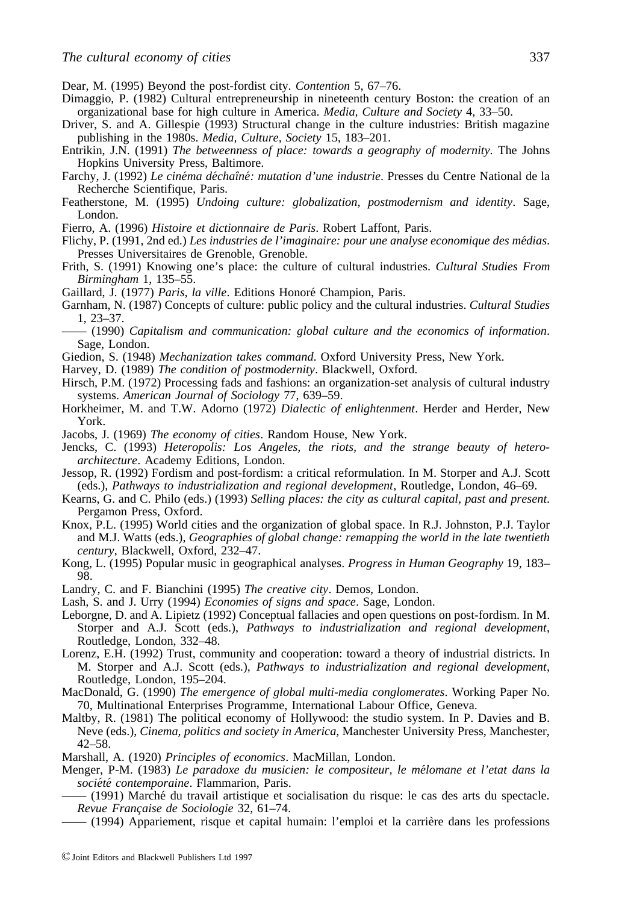Dear, M. (1995) Beyond the post-fordist city. *Contention* 5, 67–76.

- Dimaggio, P. (1982) Cultural entrepreneurship in nineteenth century Boston: the creation of an organizational base for high culture in America. *Media, Culture and Society* 4, 33–50.
- Driver, S. and A. Gillespie (1993) Structural change in the culture industries: British magazine publishing in the 1980s. *Media, Culture, Society* 15, 183–201.
- Entrikin, J.N. (1991) *The betweenness of place: towards a geography of modernity*. The Johns Hopkins University Press, Baltimore.
- Farchy, J. (1992) *Le cine´ma de´chaıˆne´: mutation d'une industrie*. Presses du Centre National de la Recherche Scientifique, Paris.
- Featherstone, M. (1995) *Undoing culture: globalization, postmodernism and identity*. Sage, London.

Fierro, A. (1996) *Histoire et dictionnaire de Paris*. Robert Laffont, Paris.

- Flichy, P. (1991, 2nd ed.) *Les industries de l'imaginaire: pour une analyse economique des me´dias*. Presses Universitaires de Grenoble, Grenoble.
- Frith, S. (1991) Knowing one's place: the culture of cultural industries. *Cultural Studies From Birmingham* 1, 135–55.
- Gaillard, J. (1977) *Paris, la ville*. Editions Honoré Champion, Paris.
- Garnham, N. (1987) Concepts of culture: public policy and the cultural industries. *Cultural Studies* 1, 23–37.
	- —— (1990) *Capitalism and communication: global culture and the economics of information*. Sage, London.
- Giedion, S. (1948) *Mechanization takes command*. Oxford University Press, New York.
- Harvey, D. (1989) *The condition of postmodernity*. Blackwell, Oxford.
- Hirsch, P.M. (1972) Processing fads and fashions: an organization-set analysis of cultural industry systems. *American Journal of Sociology* 77, 639–59.
- Horkheimer, M. and T.W. Adorno (1972) *Dialectic of enlightenment*. Herder and Herder, New York.
- Jacobs, J. (1969) *The economy of cities*. Random House, New York.
- Jencks, C. (1993) *Heteropolis: Los Angeles, the riots, and the strange beauty of heteroarchitecture*. Academy Editions, London.
- Jessop, R. (1992) Fordism and post-fordism: a critical reformulation. In M. Storper and A.J. Scott (eds.), *Pathways to industrialization and regional development*, Routledge, London, 46–69.
- Kearns, G. and C. Philo (eds.) (1993) *Selling places: the city as cultural capital, past and present*. Pergamon Press, Oxford.
- Knox, P.L. (1995) World cities and the organization of global space. In R.J. Johnston, P.J. Taylor and M.J. Watts (eds.), *Geographies of global change: remapping the world in the late twentieth century*, Blackwell, Oxford, 232–47.
- Kong, L. (1995) Popular music in geographical analyses. *Progress in Human Geography* 19, 183– 98.
- Landry, C. and F. Bianchini (1995) *The creative city*. Demos, London.
- Lash, S. and J. Urry (1994) *Economies of signs and space*. Sage, London.
- Leborgne, D. and A. Lipietz (1992) Conceptual fallacies and open questions on post-fordism. In M. Storper and A.J. Scott (eds.), *Pathways to industrialization and regional development*, Routledge, London, 332–48.
- Lorenz, E.H. (1992) Trust, community and cooperation: toward a theory of industrial districts. In M. Storper and A.J. Scott (eds.), *Pathways to industrialization and regional development*, Routledge, London, 195–204.
- MacDonald, G. (1990) *The emergence of global multi-media conglomerates*. Working Paper No. 70, Multinational Enterprises Programme, International Labour Office, Geneva.
- Maltby, R. (1981) The political economy of Hollywood: the studio system. In P. Davies and B. Neve (eds.), *Cinema, politics and society in America*, Manchester University Press, Manchester, 42–58.

Marshall, A. (1920) *Principles of economics*. MacMillan, London.

- Menger, P-M. (1983) *Le paradoxe du musicien: le compositeur, le me´lomane et l'etat dans la socie´te´ contemporaine*. Flammarion, Paris.
- —— (1991) Marche´ du travail artistique et socialisation du risque: le cas des arts du spectacle. *Revue Franc¸aise de Sociologie* 32, 61–74.
- —— (1994) Appariement, risque et capital humain: l'emploi et la carrière dans les professions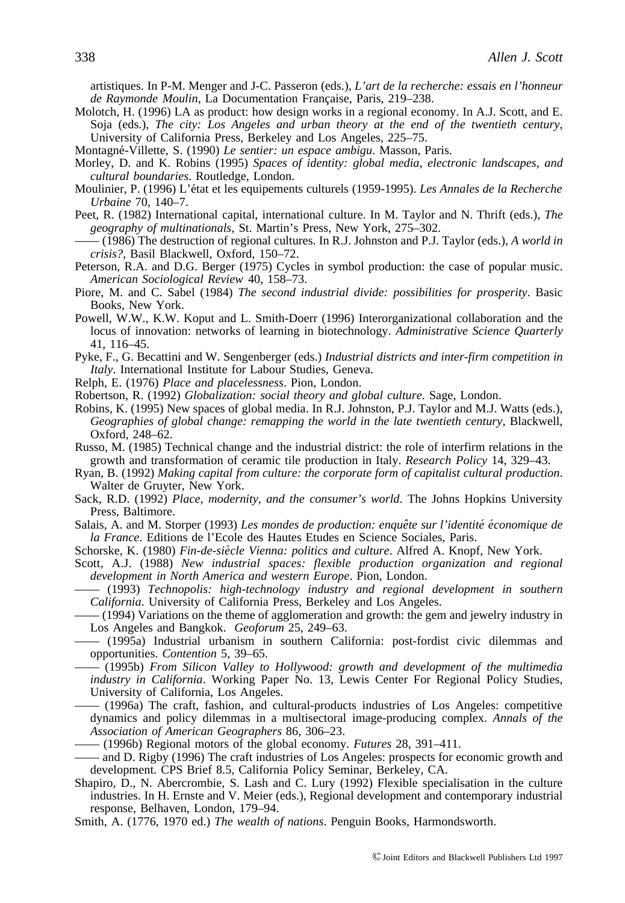artistiques. In P-M. Menger and J-C. Passeron (eds.), *L'art de la recherche: essais en l'honneur de Raymonde Moulin*, La Documentation Francaise, Paris, 219–238.

- Molotch, H. (1996) LA as product: how design works in a regional economy. In A.J. Scott, and E. Soja (eds.), *The city: Los Angeles and urban theory at the end of the twentieth century*, University of California Press, Berkeley and Los Angeles, 225–75.
- Montagne´-Villette, S. (1990) *Le sentier: un espace ambigu*. Masson, Paris.
- Morley, D. and K. Robins (1995) *Spaces of identity: global media, electronic landscapes, and cultural boundaries*. Routledge, London.
- Moulinier, P. (1996) L'e´tat et les equipements culturels (1959-1995). *Les Annales de la Recherche Urbaine* 70, 140–7.
- Peet, R. (1982) International capital, international culture. In M. Taylor and N. Thrift (eds.), *The geography of multinationals*, St. Martin's Press, New York, 275–302.
- —— (1986) The destruction of regional cultures. In R.J. Johnston and P.J. Taylor (eds.), *A world in crisis?*, Basil Blackwell, Oxford, 150–72.
- Peterson, R.A. and D.G. Berger (1975) Cycles in symbol production: the case of popular music. *American Sociological Review* 40, 158–73.
- Piore, M. and C. Sabel (1984) *The second industrial divide: possibilities for prosperity*. Basic Books, New York.
- Powell, W.W., K.W. Koput and L. Smith-Doerr (1996) Interorganizational collaboration and the locus of innovation: networks of learning in biotechnology. *Administrative Science Quarterly* 41, 116–45.
- Pyke, F., G. Becattini and W. Sengenberger (eds.) *Industrial districts and inter-firm competition in Italy*. International Institute for Labour Studies, Geneva.
- Relph, E. (1976) *Place and placelessness*. Pion, London.
- Robertson, R. (1992) *Globalization: social theory and global culture*. Sage, London.
- Robins, K. (1995) New spaces of global media. In R.J. Johnston, P.J. Taylor and M.J. Watts (eds.), *Geographies of global change: remapping the world in the late twentieth century*, Blackwell, Oxford, 248–62.
- Russo, M. (1985) Technical change and the industrial district: the role of interfirm relations in the growth and transformation of ceramic tile production in Italy. *Research Policy* 14, 329–43.
- Ryan, B. (1992) *Making capital from culture: the corporate form of capitalist cultural production*. Walter de Gruyter, New York.
- Sack, R.D. (1992) *Place, modernity, and the consumer's world*. The Johns Hopkins University Press, Baltimore.
- Salais, A. and M. Storper (1993) *Les mondes de production: enqueˆte sur l'identite´ e´conomique de la France*. Editions de l'Ecole des Hautes Etudes en Science Sociales, Paris.
- Schorske, K. (1980) *Fin-de-sie`cle Vienna: politics and culture*. Alfred A. Knopf, New York.
- Scott, A.J. (1988) *New industrial spaces: flexible production organization and regional development in North America and western Europe*. Pion, London.
- —— (1993) *Technopolis: high-technology industry and regional development in southern California*. University of California Press, Berkeley and Los Angeles.
- —— (1994) Variations on the theme of agglomeration and growth: the gem and jewelry industry in Los Angeles and Bangkok. *Geoforum* 25, 249–63.
- —— (1995a) Industrial urbanism in southern California: post-fordist civic dilemmas and opportunities. *Contention* 5, 39–65.
	- —— (1995b) *From Silicon Valley to Hollywood: growth and development of the multimedia industry in California*. Working Paper No. 13, Lewis Center For Regional Policy Studies, University of California, Los Angeles.
	- —— (1996a) The craft, fashion, and cultural-products industries of Los Angeles: competitive dynamics and policy dilemmas in a multisectoral image-producing complex. *Annals of the Association of American Geographers* 86, 306–23.
	- —— (1996b) Regional motors of the global economy. *Futures* 28, 391–411.
- —— and D. Rigby (1996) The craft industries of Los Angeles: prospects for economic growth and development. CPS Brief 8.5, California Policy Seminar, Berkeley, CA.
- Shapiro, D., N. Abercrombie, S. Lash and C. Lury (1992) Flexible specialisation in the culture industries. In H. Ernste and V. Meier (eds.), Regional development and contemporary industrial response, Belhaven, London, 179–94.
- Smith, A. (1776, 1970 ed.) *The wealth of nations*. Penguin Books, Harmondsworth.